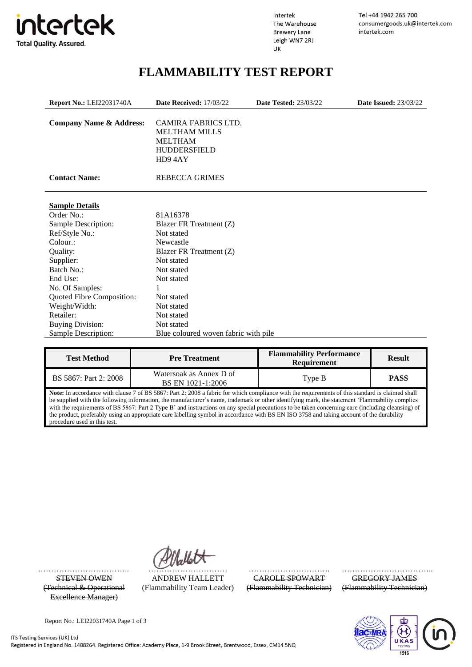

Intertek The Warehouse **Brewery Lane** Leigh WN7 2RJ UK

Tel +44 1942 265 700 consumergoods.uk@intertek.com intertek.com

# **FLAMMABILITY TEST REPORT**

<span id="page-0-0"></span>

| <b>Report No.: LEI22031740A</b><br>Date Received: 17/03/22 |                                                                                                       | <b>Date Tested: 23/03/22</b> | <b>Date Issued: 23/03/22</b> |
|------------------------------------------------------------|-------------------------------------------------------------------------------------------------------|------------------------------|------------------------------|
| <b>Company Name &amp; Address:</b>                         | <b>CAMIRA FABRICS LTD.</b><br><b>MELTHAM MILLS</b><br><b>MELTHAM</b><br><b>HUDDERSFIELD</b><br>HD94AY |                              |                              |
| <b>Contact Name:</b>                                       | <b>REBECCA GRIMES</b>                                                                                 |                              |                              |
| <b>Sample Details</b>                                      |                                                                                                       |                              |                              |
| Order No.:                                                 | 81A16378                                                                                              |                              |                              |
| Sample Description:                                        | Blazer FR Treatment (Z)                                                                               |                              |                              |
| Ref/Style No.:                                             | Not stated                                                                                            |                              |                              |
| Colour.:                                                   | Newcastle                                                                                             |                              |                              |
| Quality:                                                   | Blazer FR Treatment (Z)                                                                               |                              |                              |
| Supplier:                                                  | Not stated                                                                                            |                              |                              |
| Batch No.:                                                 | Not stated                                                                                            |                              |                              |
| End Use:                                                   | Not stated                                                                                            |                              |                              |
| No. Of Samples:                                            |                                                                                                       |                              |                              |
| Quoted Fibre Composition:                                  | Not stated                                                                                            |                              |                              |
| Weight/Width:                                              | Not stated                                                                                            |                              |                              |
| Retailer:                                                  | Not stated                                                                                            |                              |                              |
| <b>Buying Division:</b>                                    | Not stated                                                                                            |                              |                              |
| Sample Description:                                        | Blue coloured woven fabric with pile                                                                  |                              |                              |

| <b>Test Method</b>    | <b>Pre Treatment</b>                         | <b>Flammability Performance</b><br><b>Requirement</b> | <b>Result</b> |
|-----------------------|----------------------------------------------|-------------------------------------------------------|---------------|
| BS 5867: Part 2: 2008 | Watersoak as Annex D of<br>BS EN 1021-1:2006 | Type B                                                | <b>PASS</b>   |

**Note:** In accordance with clause 7 of BS 5867: Part 2: 2008 a fabric for which compliance with the requirements of this standard is claimed shall be supplied with the following information, the manufacturer's name, trademark or other identifying mark, the statement 'Flammability complies with the requirements of BS 5867: Part 2 Type B' and instructions on any special precautions to be taken concerning care (including cleansing) of the product, preferably using an appropriate care labelling symbol in accordance with BS EN ISO 3758 and taking account of the durability procedure used in this test.

(Technical & Operational Excellence Manager)

…………………………….. ………………………… …………………………. ……………………………... STEVEN OWEN ANDREW HALLETT CAROLE SPOWART GREGORY JAMES (Flammability Team Leader) (Flammability Technician) (Flammability Technician)



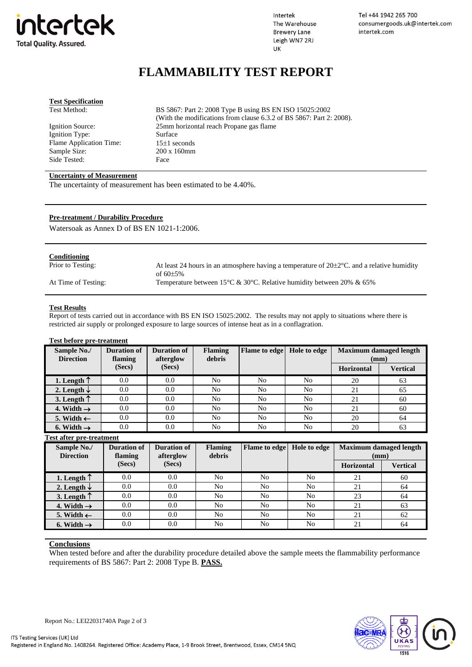

Intertek The Warehouse **Brewery Lane** Leigh WN7 2RJ UK

Tel +44 1942 265 700 consumergoods.uk@intertek.com intertek.com

## **FLAMMABILITY TEST REPORT**

| <b>Test Specification</b>   |                                                                      |
|-----------------------------|----------------------------------------------------------------------|
| Test Method:                | BS 5867: Part 2: 2008 Type B using BS EN ISO 15025:2002              |
|                             | (With the modifications from clause 6.3.2 of BS 5867: Part 2: 2008). |
| Ignition Source:            | 25mm horizontal reach Propane gas flame                              |
| Ignition Type:              | Surface                                                              |
| Flame Application Time:     | $15\pm1$ seconds                                                     |
| Sample Size:                | $200 \times 160$ mm                                                  |
| Side Tested:                | Face                                                                 |
|                             |                                                                      |
| Hypertetria - CM communicat |                                                                      |

#### **Uncertainty of Measurement**

The uncertainty of measurement has been estimated to be 4.40%.

#### **Pre-treatment / Durability Procedure**

Watersoak as Annex D of BS EN 1021-1:2006.

| Conditioning        |                                                                                                      |
|---------------------|------------------------------------------------------------------------------------------------------|
| Prior to Testing:   | At least 24 hours in an atmosphere having a temperature of $20\pm2\degree C$ and a relative humidity |
|                     | of $60\pm5\%$                                                                                        |
| At Time of Testing: | Temperature between 15°C & 30°C. Relative humidity between 20% & 65%                                 |
|                     |                                                                                                      |

#### **Test Results**

Report of tests carried out in accordance with BS EN ISO 15025:2002. The results may not apply to situations where there is restricted air supply or prolonged exposure to large sources of intense heat as in a conflagration.

### **Test before pre-treatment**

| Sample No./<br><b>Direction</b> | Duration of<br>flaming | Duration of<br>afterglow | <b>Flaming</b><br>debris | <b>Flame</b> to edge | Hole to edge | <b>Maximum damaged length</b><br>(mm) |          |
|---------------------------------|------------------------|--------------------------|--------------------------|----------------------|--------------|---------------------------------------|----------|
|                                 | (Secs)                 | (Secs)                   |                          |                      |              | Horizontal                            | Vertical |
| 1. Length $\uparrow$            | 0.0                    | 0.0                      | No                       | No                   | No           | 20                                    | 63       |
| 2. Length $\downarrow$          | 0.0                    | 0.0                      | No                       | No                   | No           | 21                                    | 65       |
| 3. Length $\uparrow$            | 0.0                    | 0.0                      | No                       | No                   | No           | 21                                    | 60       |
| 4. Width $\rightarrow$          | 0.0                    | 0.0                      | No                       | No                   | No           | 21                                    | 60       |
| 5. Width $\leftarrow$           | 0.0                    | 0.0                      | No                       | No                   | No           | 20                                    | 64       |
| 6. Width $\rightarrow$          | 0.0                    | 0.0                      | No                       | No                   | No           | 20                                    | 63       |

### **Test after pre-treatment**

| Sample No./<br><b>Direction</b> | <b>Duration of</b><br>flaming | <b>Duration of</b><br>afterglow | <b>Flaming</b><br>debris | <b>Flame</b> to edge | Hole to edge   | <b>Maximum damaged length</b><br>(mm) |                 |
|---------------------------------|-------------------------------|---------------------------------|--------------------------|----------------------|----------------|---------------------------------------|-----------------|
|                                 | (Secs)                        | (Secs)                          |                          |                      |                | <b>Horizontal</b>                     | <b>Vertical</b> |
| 1. Length $\uparrow$            | 0.0                           | 0.0                             | N <sub>o</sub>           | No                   | N <sub>0</sub> | 21                                    | 60              |
| 2. Length $\downarrow$          | 0.0                           | 0.0                             | N <sub>o</sub>           | No                   | No             | 21                                    | 64              |
| 3. Length $\uparrow$            | 0.0                           | 0.0                             | N <sub>o</sub>           | No                   | N <sub>0</sub> | 23                                    | 64              |
| 4. Width $\rightarrow$          | 0.0                           | 0.0                             | N <sub>o</sub>           | No                   | N <sub>0</sub> | 21                                    | 63              |
| 5. Width $\leftarrow$           | 0.0                           | 0.0                             | N <sub>o</sub>           | No                   | No             | 21                                    | 62              |
| 6. Width $\rightarrow$          | 0.0                           | 0.0                             | N <sub>o</sub>           | No                   | No             | 21                                    | 64              |

#### **Conclusions**

When tested before and after the durability procedure detailed above the sample meets the flammability performance requirements of BS 5867: Part 2: 2008 Type B. **PASS.**



Report No.: [LEI22031740A](#page-0-0) Page 2 of 3